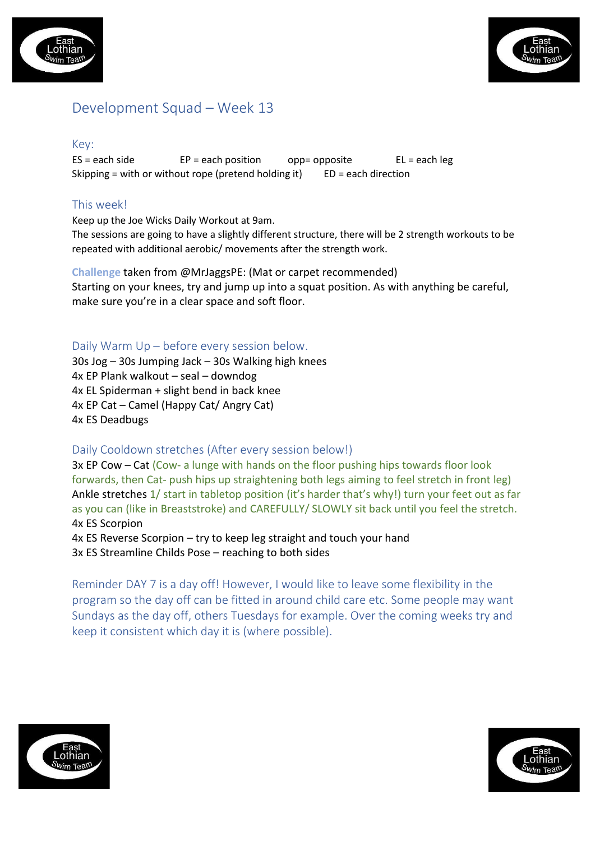



# Development Squad – Week 13

#### Key:

 $ES = each side$  EP = each position opp= opposite EL = each leg Skipping = with or without rope (pretend holding it)  $ED = each direction$ 

## This week!

Keep up the Joe Wicks Daily Workout at 9am.

The sessions are going to have a slightly different structure, there will be 2 strength workouts to be repeated with additional aerobic/ movements after the strength work.

**Challenge** taken from @MrJaggsPE: (Mat or carpet recommended) Starting on your knees, try and jump up into a squat position. As with anything be careful, make sure you're in a clear space and soft floor.

#### Daily Warm Up – before every session below.

30s Jog – 30s Jumping Jack – 30s Walking high knees 4x EP Plank walkout – seal – downdog 4x EL Spiderman + slight bend in back knee 4x EP Cat – Camel (Happy Cat/ Angry Cat) 4x ES Deadbugs

#### Daily Cooldown stretches (After every session below!)

3x EP Cow – Cat (Cow- a lunge with hands on the floor pushing hips towards floor look forwards, then Cat- push hips up straightening both legs aiming to feel stretch in front leg) Ankle stretches 1/ start in tabletop position (it's harder that's why!) turn your feet out as far as you can (like in Breaststroke) and CAREFULLY/ SLOWLY sit back until you feel the stretch. 4x ES Scorpion

4x ES Reverse Scorpion – try to keep leg straight and touch your hand 3x ES Streamline Childs Pose – reaching to both sides

Reminder DAY 7 is a day off! However, I would like to leave some flexibility in the program so the day off can be fitted in around child care etc. Some people may want Sundays as the day off, others Tuesdays for example. Over the coming weeks try and keep it consistent which day it is (where possible).



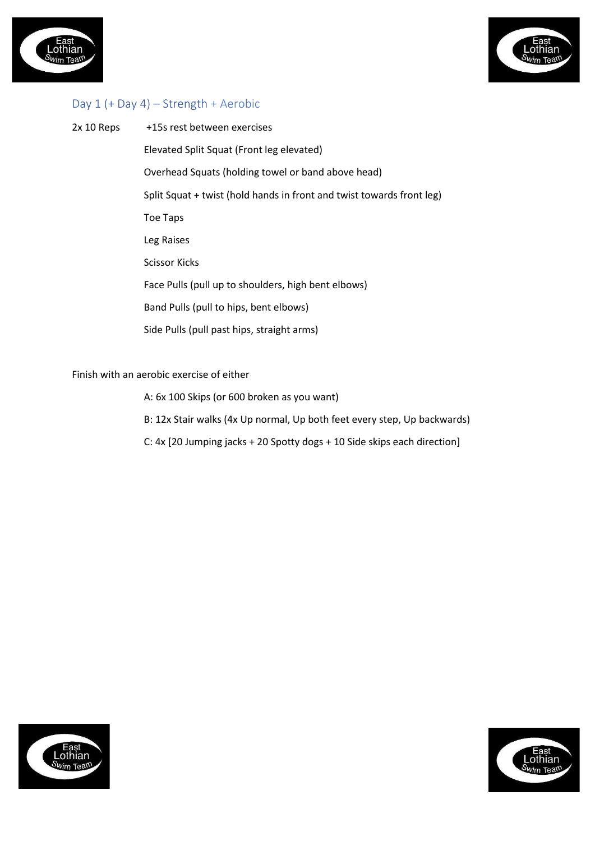



### Day 1 (+ Day 4) – Strength + Aerobic

2x 10 Reps +15s rest between exercises Elevated Split Squat (Front leg elevated) Overhead Squats (holding towel or band above head) Split Squat + twist (hold hands in front and twist towards front leg) Toe Taps Leg Raises Scissor Kicks Face Pulls (pull up to shoulders, high bent elbows) Band Pulls (pull to hips, bent elbows) Side Pulls (pull past hips, straight arms)

Finish with an aerobic exercise of either

- A: 6x 100 Skips (or 600 broken as you want)
- B: 12x Stair walks (4x Up normal, Up both feet every step, Up backwards)
- C: 4x [20 Jumping jacks + 20 Spotty dogs + 10 Side skips each direction]